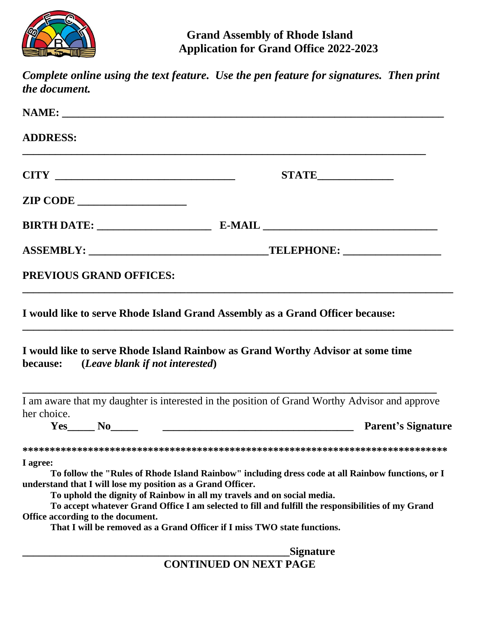

| the document.                                                                                                | Complete online using the text feature. Use the pen feature for signatures. Then print                                                                                                                                                                                                                                                                         |
|--------------------------------------------------------------------------------------------------------------|----------------------------------------------------------------------------------------------------------------------------------------------------------------------------------------------------------------------------------------------------------------------------------------------------------------------------------------------------------------|
|                                                                                                              |                                                                                                                                                                                                                                                                                                                                                                |
| <b>ADDRESS:</b>                                                                                              |                                                                                                                                                                                                                                                                                                                                                                |
|                                                                                                              | <b>STATE______________</b>                                                                                                                                                                                                                                                                                                                                     |
| <b>ZIP CODE</b>                                                                                              |                                                                                                                                                                                                                                                                                                                                                                |
|                                                                                                              |                                                                                                                                                                                                                                                                                                                                                                |
|                                                                                                              |                                                                                                                                                                                                                                                                                                                                                                |
| PREVIOUS GRAND OFFICES:                                                                                      |                                                                                                                                                                                                                                                                                                                                                                |
| because: (Leave blank if not interested)                                                                     | I would like to serve Rhode Island Grand Assembly as a Grand Officer because:<br>I would like to serve Rhode Island Rainbow as Grand Worthy Advisor at some time                                                                                                                                                                                               |
| her choice.<br>$Yes$ No                                                                                      | I am aware that my daughter is interested in the position of Grand Worthy Advisor and approve<br><b>Parent's Signature</b><br><u> 1980 - John Stein, Amerikaansk kanton (</u>                                                                                                                                                                                  |
| I agree:<br>understand that I will lose my position as a Grand Officer.<br>Office according to the document. | To follow the "Rules of Rhode Island Rainbow" including dress code at all Rainbow functions, or I<br>To uphold the dignity of Rainbow in all my travels and on social media.<br>To accept whatever Grand Office I am selected to fill and fulfill the responsibilities of my Grand<br>That I will be removed as a Grand Officer if I miss TWO state functions. |
|                                                                                                              | Signature<br><b>CONTINUED ON NEXT PAGE</b>                                                                                                                                                                                                                                                                                                                     |
|                                                                                                              |                                                                                                                                                                                                                                                                                                                                                                |